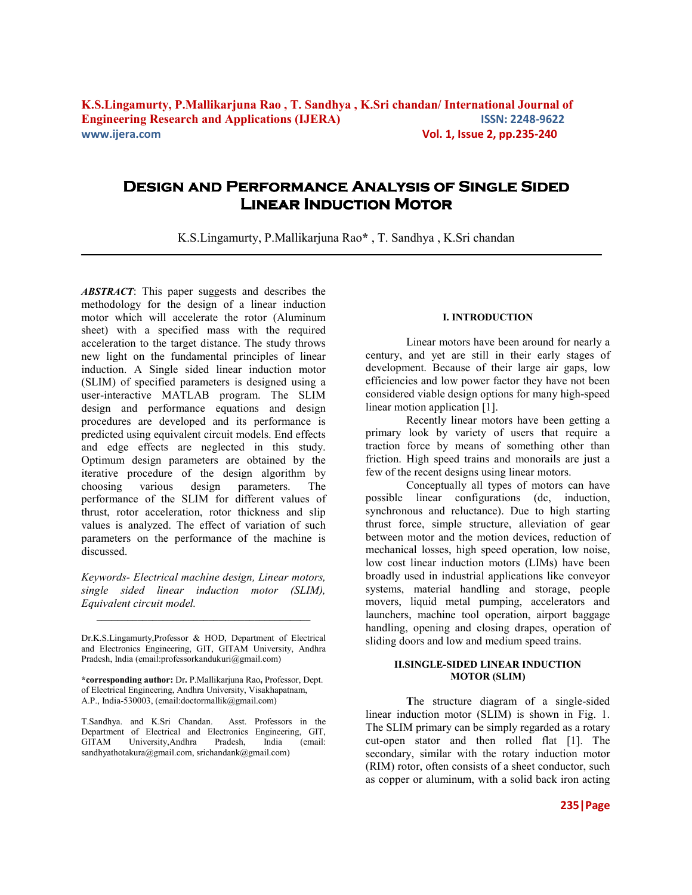# **Design and Performance Analysis of Single Sided Linear Induction Motor**

K.S.Lingamurty, [P.Mallikarjuna Rao](http://www.andhrauniversity.info/andhrauniversity/Resume.php?var=E1006)**\*** , T. Sandhya , K.Sri chandan

*ABSTRACT*: This paper suggests and describes the methodology for the design of a linear induction motor which will accelerate the rotor (Aluminum sheet) with a specified mass with the required acceleration to the target distance. The study throws new light on the fundamental principles of linear induction. A Single sided linear induction motor (SLIM) of specified parameters is designed using a user-interactive MATLAB program. The SLIM design and performance equations and design procedures are developed and its performance is predicted using equivalent circuit models. End effects and edge effects are neglected in this study. Optimum design parameters are obtained by the iterative procedure of the design algorithm by choosing various design parameters. The performance of the SLIM for different values of thrust, rotor acceleration, rotor thickness and slip values is analyzed. The effect of variation of such parameters on the performance of the machine is discussed.

*Keywords- Electrical machine design, Linear motors, single sided linear induction motor (SLIM), Equivalent circuit model.* 

**\_\_\_\_\_\_\_\_\_\_\_\_\_\_\_\_\_\_\_\_\_\_\_\_\_\_\_\_\_\_\_\_\_\_\_\_\_\_\_\_\_\_** 

T.Sandhya. and K.Sri Chandan. Asst. Professors in the Department of Electrical and Electronics Engineering, GIT, GITAM University,Andhra Pradesh, India (email: [sandhyathotakura@gmail.com](mailto:sandhyathotakura@gmail.com), srichandank@gmail.com)

## **I. INTRODUCTION**

Linear motors have been around for nearly a century, and yet are still in their early stages of development. Because of their large air gaps, low efficiencies and low power factor they have not been considered viable design options for many high-speed linear motion application [1].

Recently linear motors have been getting a primary look by variety of users that require a traction force by means of something other than friction. High speed trains and monorails are just a few of the recent designs using linear motors.

Conceptually all types of motors can have possible linear configurations (dc, induction, synchronous and reluctance). Due to high starting thrust force, simple structure, alleviation of gear between motor and the motion devices, reduction of mechanical losses, high speed operation, low noise, low cost linear induction motors (LIMs) have been broadly used in industrial applications like conveyor systems, material handling and storage, people movers, liquid metal pumping, accelerators and launchers, machine tool operation, airport baggage handling, opening and closing drapes, operation of sliding doors and low and medium speed trains.

### **II.SINGLE-SIDED LINEAR INDUCTION MOTOR (SLIM)**

 **T**he structure diagram of a single-sided linear induction motor (SLIM) is shown in Fig. 1. The SLIM primary can be simply regarded as a rotary cut-open stator and then rolled flat [1]. The secondary, similar with the rotary induction motor (RIM) rotor, often consists of a sheet conductor, such as copper or aluminum, with a solid back iron acting

Dr.K.S.Lingamurty,Professor & HOD, Department of Electrical and Electronics Engineering, GIT, GITAM University, Andhra Pradesh, India (email:professorkandukuri@gmail.com)

**<sup>\*</sup>corresponding author:** Dr**.** [P.Mallikarjuna Rao](http://www.andhrauniversity.info/andhrauniversity/Resume.php?var=E1006)**,** Professor, Dept. of Electrical Engineering, Andhra University, Visakhapatnam, A.P., India-530003, (email:doctormallik@gmail.com)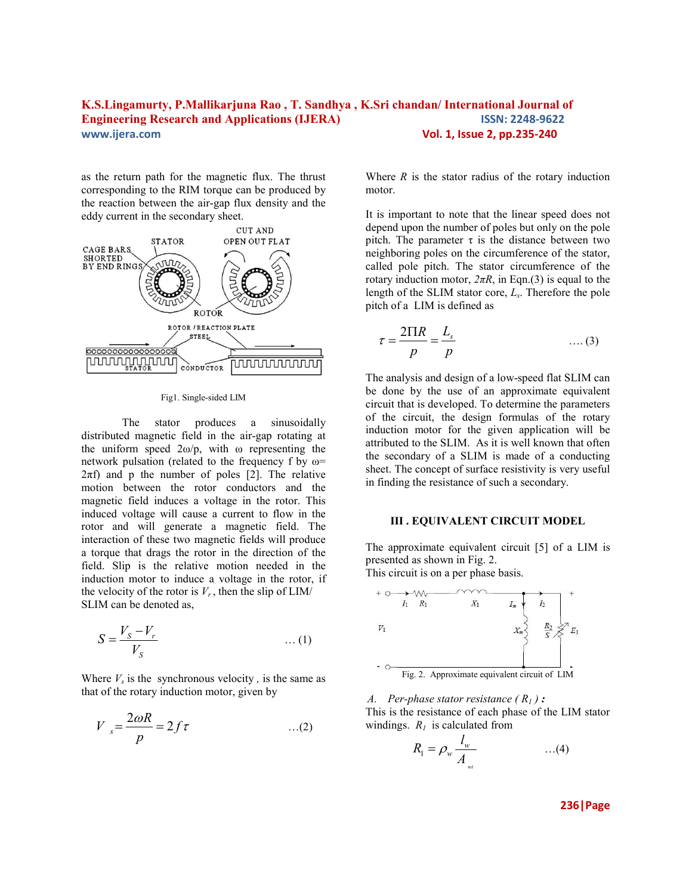as the return path for the magnetic flux. The thrust corresponding to the RIM torque can be produced by the reaction between the air-gap flux density and the eddy current in the secondary sheet.



Fig1. Single-sided LIM

The stator produces a sinusoidally distributed magnetic field in the air-gap rotating at the uniform speed  $2\omega/p$ , with  $\omega$  representing the network pulsation (related to the frequency f by  $\omega$ =  $2\pi f$ ) and p the number of poles [2]. The relative motion between the rotor conductors and the magnetic field induces a voltage in the rotor. This induced voltage will cause a current to flow in the rotor and will generate a magnetic field. The interaction of these two magnetic fields will produce a torque that drags the rotor in the direction of the field. Slip is the relative motion needed in the induction motor to induce a voltage in the rotor, if the velocity of the rotor is  $V_r$ , then the slip of LIM/ SLIM can be denoted as,

$$
S = \frac{V_S - V_r}{V_S} \qquad \qquad \dots (1)
$$

Where  $V_s$  is the synchronous velocity, is the same as that of the rotary induction motor, given by

$$
V_{s} = \frac{2\omega R}{p} = 2f\tau
$$
...(2)

Where  $R$  is the stator radius of the rotary induction motor.

It is important to note that the linear speed does not depend upon the number of poles but only on the pole pitch. The parameter  $\tau$  is the distance between two neighboring poles on the circumference of the stator, called pole pitch. The stator circumference of the rotary induction motor,  $2\pi R$ , in Eqn.(3) is equal to the length of the SLIM stator core, *L<sup>s</sup>* . Therefore the pole pitch of a LIM is defined as

$$
\tau = \frac{2\pi R}{p} = \frac{L_s}{p} \qquad \qquad \dots (3)
$$

The analysis and design of a low-speed flat SLIM can be done by the use of an approximate equivalent circuit that is developed. To determine the parameters of the circuit, the design formulas of the rotary induction motor for the given application will be attributed to the SLIM. As it is well known that often the secondary of a SLIM is made of a conducting sheet. The concept of surface resistivity is very useful in finding the resistance of such a secondary.

### **III . EQUIVALENT CIRCUIT MODEL**

The approximate equivalent circuit [5] of a LIM is presented as shown in Fig. 2. This circuit is on a per phase basis.



*A. Per-phase stator resistance*  $(R_1)$  :

This is the resistance of each phase of the LIM stator windings.  $R_I$  is calculated from

$$
R_1 = \rho_w \frac{l_w}{A_w} \qquad \qquad \dots (4)
$$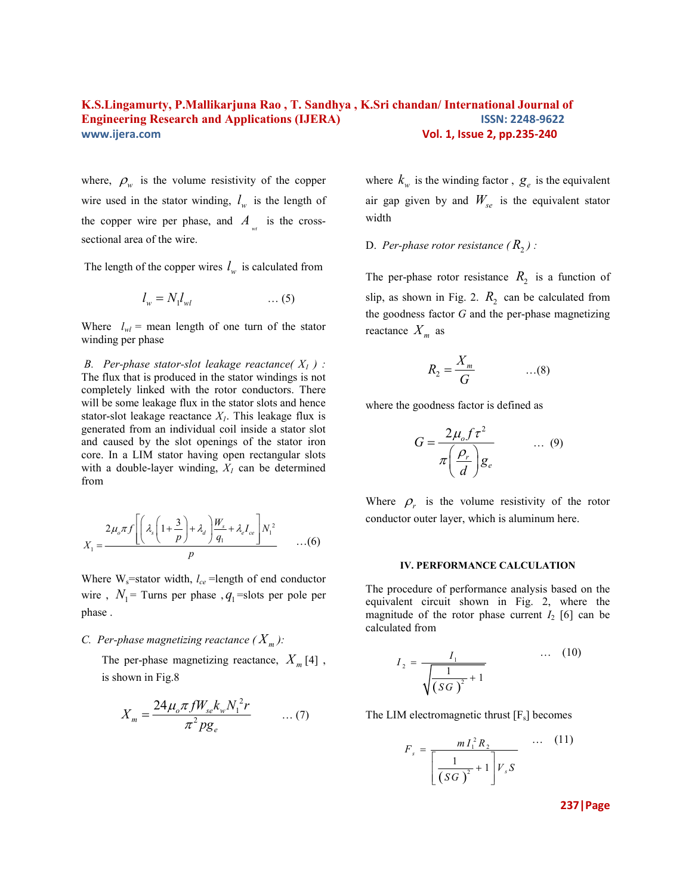where,  $\rho_w$  is the volume resistivity of the copper wire used in the stator winding,  $l_w$  is the length of the copper wire per phase, and  $A_{\nu t}$  is the crosssectional area of the wire.

The length of the copper wires  $l_w$  is calculated from

$$
l_w = N_1 l_{wl} \tag{5}
$$

Where  $l_{wl}$  = mean length of one turn of the stator winding per phase

 *B. Per-phase stator-slot leakage reactance( X1 ) :*  The flux that is produced in the stator windings is not completely linked with the rotor conductors. There will be some leakage flux in the stator slots and hence stator-slot leakage reactance *X1*. This leakage flux is generated from an individual coil inside a stator slot and caused by the slot openings of the stator iron core. In a LIM stator having open rectangular slots with a double-layer winding,  $X_I$  can be determined from

$$
X_1 = \frac{2\mu_o \pi f \left[ \left( \lambda_s \left( 1 + \frac{3}{p} \right) + \lambda_d \right) \frac{W_s}{q_1} + \lambda_e I_{ce} \right] N_1^2}{p} \qquad \dots (6)
$$

Where W<sub>s</sub>=stator width,  $l_{ce}$ =length of end conductor wire,  $N_1$  = Turns per phase,  $q_1$  = slots per pole per phase .

# *C. Per-phase magnetizing reactance*  $(X_m)$ :

The per-phase magnetizing reactance,  $X_m$ [4], is shown in Fig.8

$$
X_{m} = \frac{24\mu_{o}\pi f W_{se}k_{w}N_{1}^{2}r}{\pi^{2}pg_{e}} \qquad \dots (7)
$$

where  $k_w$  is the winding factor,  $g_e$  is the equivalent air gap given by and  $W_{se}$  is the equivalent stator width

D. Per-phase rotor resistance  $(R_2)$  :

The per-phase rotor resistance  $R_2$  is a function of slip, as shown in Fig. 2.  $R_2$  can be calculated from the goodness factor *G* and the per-phase magnetizing reactance  $X_m$  as

$$
R_2 = \frac{X_m}{G} \qquad \qquad \dots (8)
$$

where the goodness factor is defined as

$$
G = \frac{2\mu_o f \tau^2}{\pi \left(\frac{\rho_r}{d}\right)g_e} \qquad \dots (9)
$$

Where  $\rho_r$  is the volume resistivity of the rotor conductor outer layer, which is aluminum here.

#### **IV. PERFORMANCE CALCULATION**

The procedure of performance analysis based on the equivalent circuit shown in Fig. 2, where the magnitude of the rotor phase current  $I_2$  [6] can be calculated from

$$
I_2 = \frac{I_1}{\sqrt{\left(SG\right)^2 + 1}} \qquad \qquad \dots \quad (10)
$$

The LIM electromagnetic thrust  $[F_s]$  becomes

$$
F_s = \frac{m I_1^2 R_2}{\left[\frac{1}{(SG)^2} + 1\right] V_s S} \quad \cdots \quad (11)
$$

**237|Page**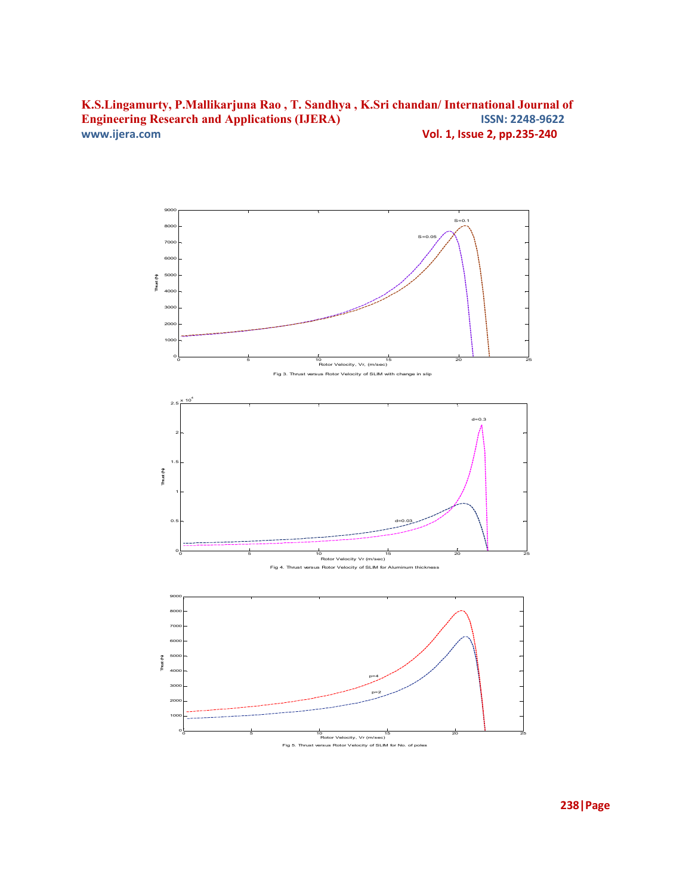

**238|Page**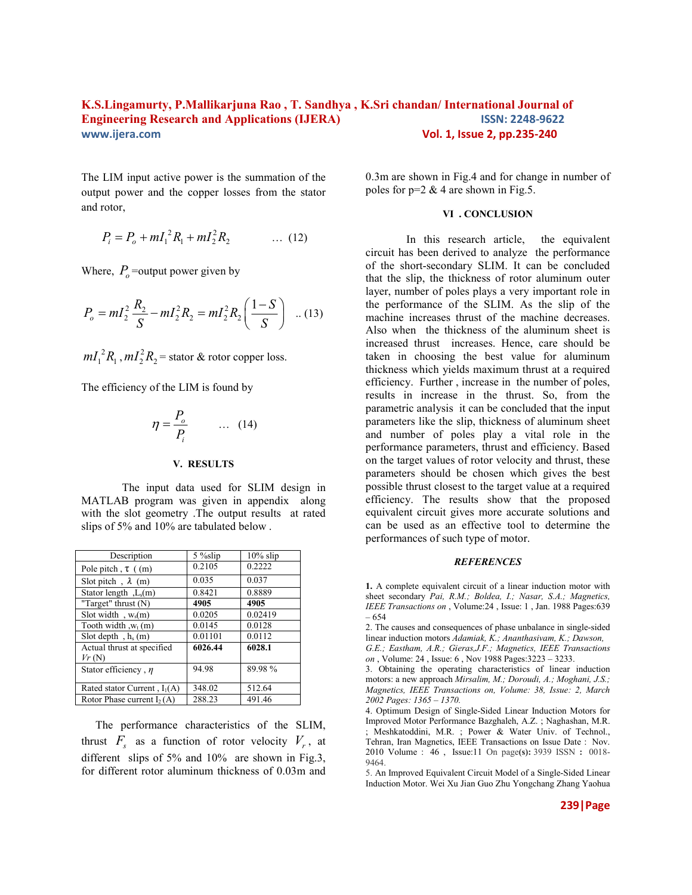The LIM input active power is the summation of the output power and the copper losses from the stator and rotor,

$$
P_i = P_o + mI_1^2 R_1 + mI_2^2 R_2 \qquad \dots (12)
$$

Where,  $P_o$  = output power given by

$$
P_o = mL_2^2 \frac{R_2}{S} - mL_2^2 R_2 = mL_2^2 R_2 \left(\frac{1-S}{S}\right) \dots (13)
$$

 $mI_1^2R_1$ ,  $mI_2^2R_2$  = stator & rotor copper loss.

The efficiency of the LIM is found by

$$
\eta = \frac{P_o}{P_i} \qquad \dots \quad (14)
$$

#### **V. RESULTS**

The input data used for SLIM design in MATLAB program was given in appendix along with the slot geometry .The output results at rated slips of 5% and 10% are tabulated below .

| Description                         | $5\%$ slip | $10\%$ slip |
|-------------------------------------|------------|-------------|
| Pole pitch, $\tau$ ((m)             | 0.2105     | 0.2222      |
| Slot pitch, $\lambda$ (m)           | 0.035      | 0.037       |
| Stator length, L <sub>s</sub> (m)   | 0.8421     | 0.8889      |
| "Target" thrust $(N)$               | 4905       | 4905        |
| Slot width, $w_s(m)$                | 0.0205     | 0.02419     |
| Tooth width $w_t(m)$                | 0.0145     | 0.0128      |
| Slot depth, $h_s(m)$                | 0.01101    | 0.0112      |
| Actual thrust at specified<br>Vr(N) | 6026.44    | 6028.1      |
| Stator efficiency, $\eta$           | 94.98      | 89.98%      |
| Rated stator Current, $I_1(A)$      | 348.02     | 512.64      |
| Rotor Phase current $I_2(A)$        | 288.23     | 491.46      |

 The performance characteristics of the SLIM, thrust  $F_s$  as a function of rotor velocity  $V_r$ , at different slips of 5% and 10% are shown in Fig.3, for different rotor aluminum thickness of 0.03m and

0.3m are shown in Fig.4 and for change in number of poles for  $p=2 \& 4$  are shown in Fig.5.

#### **VI . CONCLUSION**

 In this research article, the equivalent circuit has been derived to analyze the performance of the short-secondary SLIM. It can be concluded that the slip, the thickness of rotor aluminum outer layer, number of poles plays a very important role in the performance of the SLIM. As the slip of the machine increases thrust of the machine decreases. Also when the thickness of the aluminum sheet is increased thrust increases. Hence, care should be taken in choosing the best value for aluminum thickness which yields maximum thrust at a required efficiency. Further , increase in the number of poles, results in increase in the thrust. So, from the parametric analysis it can be concluded that the input parameters like the slip, thickness of aluminum sheet and number of poles play a vital role in the performance parameters, thrust and efficiency. Based on the target values of rotor velocity and thrust, these parameters should be chosen which gives the best possible thrust closest to the target value at a required efficiency. The results show that the proposed equivalent circuit gives more accurate solutions and can be used as an effective tool to determine the performances of such type of motor.

#### *REFERENCES*

**1.** A complete equivalent circuit of a linear induction motor with sheet secondary *Pai, R.M.; Boldea, I.; Nasar, S.A.; Magnetics, IEEE Transactions on* , Volume:24 , Issue: 1 , Jan. 1988 Pages:639 – 654

2. The causes and consequences of phase unbalance in single-sided linear induction motors *Adamiak, K.; Ananthasivam, K.; Dawson,* 

*G.E.; Eastham, A.R.; Gieras,J.F.; Magnetics, IEEE Transactions on* , Volume: 24 , Issue: 6 , Nov 1988 Pages:3223 – 3233.

3. Obtaining the operating characteristics of linear induction motors: a new approach *Mirsalim, M.; Doroudi, A.; Moghani, J.S.; Magnetics, IEEE Transactions on, Volume: 38, Issue: 2, March 2002 Pages: 1365 – 1370.* 

4. Optimum Design of Single-Sided Linear Induction Motors for Improved Motor Performance [Bazghaleh, A.Z.](http://ieeexplore.ieee.org/search/searchresult.jsp?searchWithin=Authors:.QT.Bazghaleh%2C%20A.Z..QT.&newsearch=partialPref) ; [Naghashan, M.R.](http://ieeexplore.ieee.org/search/searchresult.jsp?searchWithin=Authors:.QT.%20Naghashan%2C%20M.R..QT.&newsearch=partialPref)  ; [Meshkatoddini, M.R.](http://ieeexplore.ieee.org/search/searchresult.jsp?searchWithin=Authors:.QT.%20Meshkatoddini%2C%20M.R..QT.&newsearch=partialPref) ; Power & Water Univ. of Technol., Tehran, Iran [Magnetics, IEEE Transactions on](http://ieeexplore.ieee.org/xpl/RecentIssue.jsp?punumber=20) Issue Date : Nov. 2010 Volume : 46 , [Issue:11](http://ieeexplore.ieee.org/xpl/tocresult.jsp?isnumber=5605384) On page**(s):** 3939 ISSN **:** 0018- 9464.

5. An Improved Equivalent Circuit Model of a Single-Sided Linear Induction Motor. Wei Xu Jian Guo Zhu Yongchang Zhang Yaohua